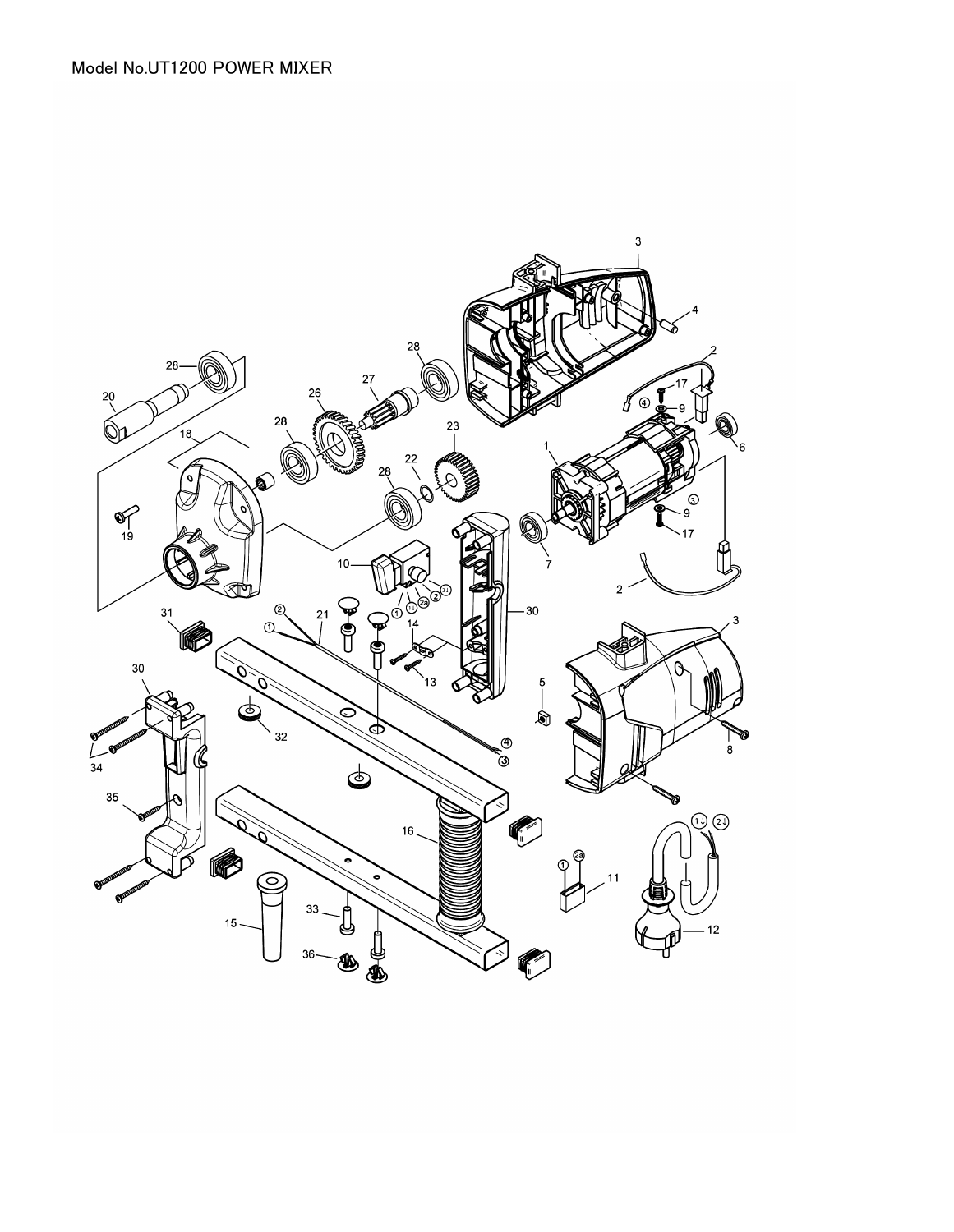